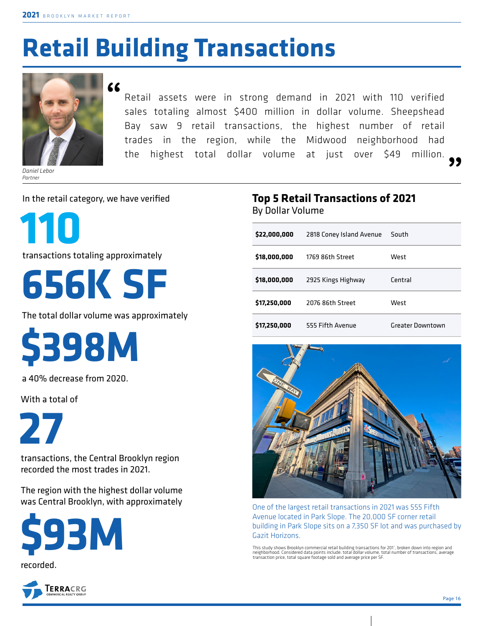# **Retail Building Transactions**



*Daniel Lebor Partner*

**"**

Retail assets were in strong demand in 2021 with 110 verified sales totaling almost \$400 million in dollar volume. Sheepshead Bay saw 9 retail transactions, the highest number of retail trades in the region, while the Midwood neighborhood had the highest total dollar volume at just over \$49 million. **"**

In the retail category, we have verified

**110**

transactions totaling approximately

**656K SF**

The total dollar volume was approximately

**\$398M**

a 40% decrease from 2020.

With a total of

**27** 

transactions, the Central Brooklyn region recorded the most trades in 2021.

The region with the highest dollar volume was Central Brooklyn, with approximately





### **Top 5 Retail Transactions of 2021**  By Dollar Volume

| \$22,000,000 | 2818 Coney Island Avenue | South                   |
|--------------|--------------------------|-------------------------|
| \$18,000,000 | 1769 86th Street         | West                    |
| \$18,000,000 | 2925 Kings Highway       | Central                 |
| \$17,250,000 | 2076 86th Street         | West                    |
| \$17,250,000 | 555 Fifth Avenue         | <b>Greater Downtown</b> |



One of the largest retail transactions in 2021 was 555 Fifth Avenue located in Park Slope. The 20,000 SF corner retail building in Park Slope sits on a 7,350 SF lot and was purchased by Gazit Horizons.

This study shows Brooklyn commercial retail building transactions for 201°, broken down into region and<br>neighborhood. Considered data points include: total dollar volume, total number of transactions, average<br>transaction p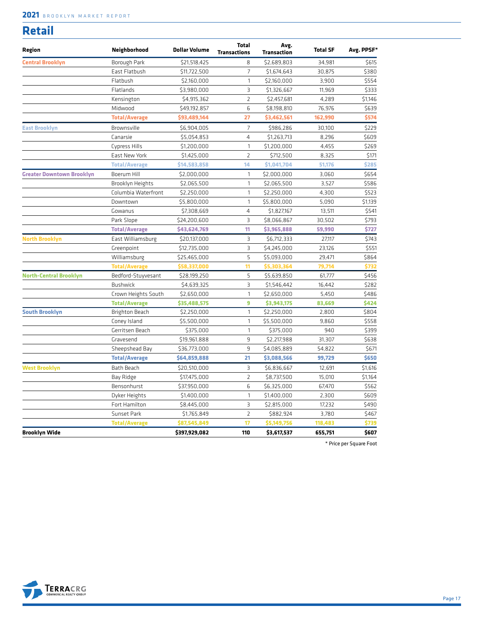#### **2021** BROOKLYN MARKET REPORT

#### **Retail**

| Region                           | Neighborhood         | <b>Dollar Volume</b> | <b>Total</b><br><b>Transactions</b> | Avg.<br><b>Transaction</b> | <b>Total SF</b> | Avg. PPSF* |
|----------------------------------|----------------------|----------------------|-------------------------------------|----------------------------|-----------------|------------|
| <b>Central Brooklyn</b>          | Borough Park         | \$21,518,425         | 8                                   | \$2,689,803                | 34,981          | \$615      |
|                                  | East Flatbush        | \$11,722,500         | $\overline{7}$                      | \$1,674,643                | 30,875          | \$380      |
|                                  | Flatbush             | \$2,160,000          | $\mathbf{1}$                        | \$2,160,000                | 3,900           | \$554      |
|                                  | Flatlands            | \$3,980,000          | $\overline{3}$                      | \$1,326,667                | 11,969          | \$333      |
|                                  | Kensington           | \$4,915,362          | $\overline{2}$                      | \$2,457,681                | 4,289           | \$1,146    |
|                                  | Midwood              | \$49,192,857         | 6                                   | \$8,198,810                | 76,976          | \$639      |
|                                  | <b>Total/Average</b> | \$93,489,144         | 27                                  | \$3,462,561                | 162,990         | \$574      |
| <b>East Brooklyn</b>             | Brownsville          | \$6,904,005          | $\overline{7}$                      | \$986,286                  | 30,100          | \$229      |
|                                  | Canarsie             | \$5,054,853          | $\overline{4}$                      | \$1,263,713                | 8,296           | \$609      |
|                                  | Cypress Hills        | \$1,200,000          | $\mathbf{1}$                        | \$1,200,000                | 4,455           | \$269      |
|                                  | East New York        | \$1,425,000          | $\overline{2}$                      | \$712,500                  | 8,325           | \$171      |
|                                  | <b>Total/Average</b> | \$14,583,858         | 14                                  | \$1,041,704                | 51,176          | \$285      |
| <b>Greater Downtown Brooklyn</b> | Boerum Hill          | \$2,000,000          | $\mathbf{1}$                        | \$2,000,000                | 3,060           | \$654      |
|                                  | Brooklyn Heights     | \$2,065,500          | 1                                   | \$2,065,500                | 3,527           | \$586      |
|                                  | Columbia Waterfront  | \$2,250,000          | $\mathbf{1}$                        | \$2,250,000                | 4,300           | \$523      |
|                                  | Downtown             | \$5,800,000          | $\mathbf{1}$                        | \$5,800,000                | 5,090           | \$1,139    |
|                                  | Gowanus              | \$7,308,669          | $\overline{4}$                      | \$1,827,167                | 13,511          | \$541      |
|                                  | Park Slope           | \$24,200,600         | $\overline{3}$                      | \$8,066,867                | 30,502          | \$793      |
|                                  | <b>Total/Average</b> | \$43,624,769         | 11                                  | \$3,965,888                | 59,990          | \$727      |
| <b>North Brooklyn</b>            | East Williamsburg    | \$20,137,000         | 3                                   | \$6,712,333                | 27,117          | \$743      |
|                                  | Greenpoint           | \$12,735,000         | 3                                   | \$4,245,000                | 23,126          | \$551      |
|                                  | Williamsburg         | \$25,465,000         | 5                                   | \$5,093,000                | 29,471          | \$864      |
|                                  | <b>Total/Average</b> | \$58,337,000         | 11                                  | \$5,303,364                | 79,714          | \$732      |
| <b>North-Central Brooklyn</b>    | Bedford-Stuyvesant   | \$28,199,250         | 5                                   | \$5,639,850                | 61,777          | \$456      |
|                                  | <b>Bushwick</b>      | \$4,639,325          | 3                                   | \$1,546,442                | 16,442          | \$282      |
|                                  | Crown Heights South  | \$2,650,000          | $\mathbf{1}$                        | \$2,650,000                | 5,450           | \$486      |
|                                  | <b>Total/Average</b> | \$35,488,575         | 9                                   | \$3,943,175                | 83,669          | \$424      |
| <b>South Brooklyn</b>            | Brighton Beach       | \$2,250,000          | $\mathbf{1}$                        | \$2,250,000                | 2,800           | \$804      |
|                                  | Coney Island         | \$5,500,000          | 1                                   | \$5,500,000                | 9,860           | \$558      |
|                                  | Gerritsen Beach      | \$375,000            | $\mathbf{1}$                        | \$375,000                  | 940             | \$399      |
|                                  | Gravesend            | \$19,961,888         | 9                                   | \$2,217,988                | 31,307          | \$638      |
|                                  | Sheepshead Bay       | \$36,773,000         | 9                                   | \$4,085,889                | 54,822          | \$671      |
|                                  | <b>Total/Average</b> | \$64,859,888         | 21                                  | \$3,088,566                | 99,729          | \$650      |
| <b>West Brooklyn</b>             | Bath Beach           | \$20,510,000         | $\exists$                           | \$6,836,667                | 12,691          | \$1,616    |
|                                  | Bay Ridge            | \$17,475,000         | $\overline{2}$                      | \$8,737,500                | 15,010          | \$1,164    |
|                                  | Bensonhurst          | \$37,950,000         | 6                                   | \$6,325,000                | 67,470          | \$562      |
|                                  | Dyker Heights        | \$1,400,000          | $\mathbf{1}$                        | \$1,400,000                | 2,300           | \$609      |
|                                  | Fort Hamilton        | \$8,445,000          | 3                                   | \$2,815,000                | 17,232          | \$490      |
|                                  | Sunset Park          | \$1,765,849          | $\overline{2}$                      | \$882,924                  | 3,780           | \$467      |
|                                  | <b>Total/Average</b> | \$87,545,849         | 17                                  | \$5,149,756                | 118,483         | \$739      |
| <b>Brooklyn Wide</b>             |                      | \$397,929,082        | 110                                 | \$3,617,537                | 655,751         | \$607      |

\* Price per Square Foot